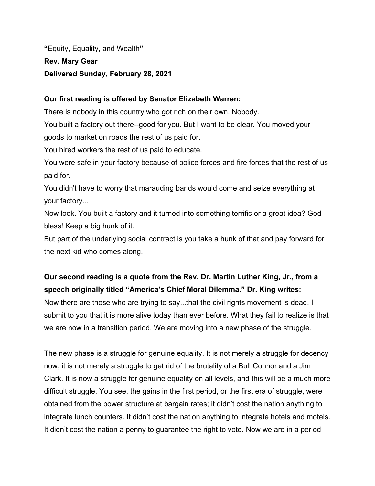**"**Equity, Equality, and Wealth**" Rev. Mary Gear Delivered Sunday, February 28, 2021**

## **Our first reading is offered by Senator Elizabeth Warren:**

There is nobody in this country who got rich on their own. Nobody.

You built a factory out there--good for you. But I want to be clear. You moved your goods to market on roads the rest of us paid for.

You hired workers the rest of us paid to educate.

You were safe in your factory because of police forces and fire forces that the rest of us paid for.

You didn't have to worry that marauding bands would come and seize everything at your factory...

Now look. You built a factory and it turned into something terrific or a great idea? God bless! Keep a big hunk of it.

But part of the underlying social contract is you take a hunk of that and pay forward for the next kid who comes along.

## **Our second reading is a quote from the Rev. Dr. Martin Luther King, Jr., from a speech originally titled "America's Chief Moral Dilemma." Dr. King writes:**

Now there are those who are trying to say...that the civil rights movement is dead. I submit to you that it is more alive today than ever before. What they fail to realize is that we are now in a transition period. We are moving into a new phase of the struggle.

The new phase is a struggle for genuine equality. It is not merely a struggle for decency now, it is not merely a struggle to get rid of the brutality of a Bull Connor and a Jim Clark. It is now a struggle for genuine equality on all levels, and this will be a much more difficult struggle. You see, the gains in the first period, or the first era of struggle, were obtained from the power structure at bargain rates; it didn't cost the nation anything to integrate lunch counters. It didn't cost the nation anything to integrate hotels and motels. It didn't cost the nation a penny to guarantee the right to vote. Now we are in a period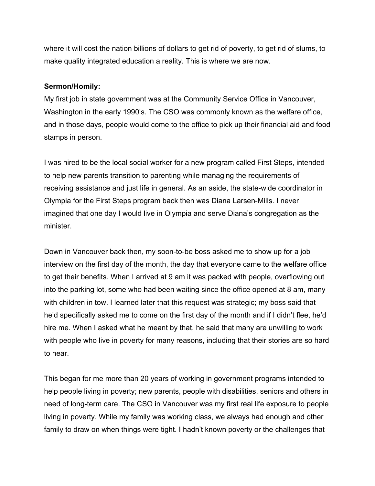where it will cost the nation billions of dollars to get rid of poverty, to get rid of slums, to make quality integrated education a reality. This is where we are now.

## **Sermon/Homily:**

My first job in state government was at the Community Service Office in Vancouver, Washington in the early 1990's. The CSO was commonly known as the welfare office, and in those days, people would come to the office to pick up their financial aid and food stamps in person.

I was hired to be the local social worker for a new program called First Steps, intended to help new parents transition to parenting while managing the requirements of receiving assistance and just life in general. As an aside, the state-wide coordinator in Olympia for the First Steps program back then was Diana Larsen-Mills. I never imagined that one day I would live in Olympia and serve Diana's congregation as the minister.

Down in Vancouver back then, my soon-to-be boss asked me to show up for a job interview on the first day of the month, the day that everyone came to the welfare office to get their benefits. When I arrived at 9 am it was packed with people, overflowing out into the parking lot, some who had been waiting since the office opened at 8 am, many with children in tow. I learned later that this request was strategic; my boss said that he'd specifically asked me to come on the first day of the month and if I didn't flee, he'd hire me. When I asked what he meant by that, he said that many are unwilling to work with people who live in poverty for many reasons, including that their stories are so hard to hear.

This began for me more than 20 years of working in government programs intended to help people living in poverty; new parents, people with disabilities, seniors and others in need of long-term care. The CSO in Vancouver was my first real life exposure to people living in poverty. While my family was working class, we always had enough and other family to draw on when things were tight. I hadn't known poverty or the challenges that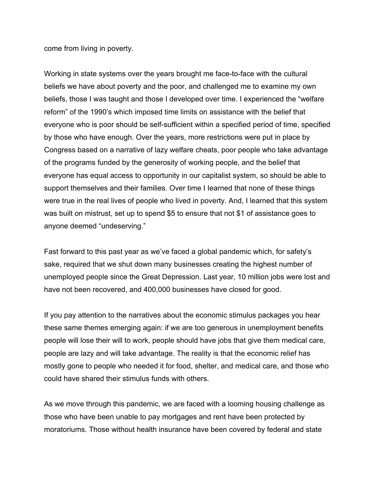come from living in poverty.

Working in state systems over the years brought me face-to-face with the cultural beliefs we have about poverty and the poor, and challenged me to examine my own beliefs, those I was taught and those I developed over time. I experienced the "welfare reform" of the 1990's which imposed time limits on assistance with the belief that everyone who is poor should be self-sufficient within a specified period of time, specified by those who have enough. Over the years, more restrictions were put in place by Congress based on a narrative of lazy welfare cheats, poor people who take advantage of the programs funded by the generosity of working people, and the belief that everyone has equal access to opportunity in our capitalist system, so should be able to support themselves and their families. Over time I Iearned that none of these things were true in the real lives of people who lived in poverty. And, I learned that this system was built on mistrust, set up to spend \$5 to ensure that not \$1 of assistance goes to anyone deemed "undeserving."

Fast forward to this past year as we've faced a global pandemic which, for safety's sake, required that we shut down many businesses creating the highest number of unemployed people since the Great Depression. Last year, 10 million jobs were lost and have not been recovered, and 400,000 businesses have closed for good.

If you pay attention to the narratives about the economic stimulus packages you hear these same themes emerging again: if we are too generous in unemployment benefits people will lose their will to work, people should have jobs that give them medical care, people are lazy and will take advantage. The reality is that the economic relief has mostly gone to people who needed it for food, shelter, and medical care, and those who could have shared their stimulus funds with others.

As we move through this pandemic, we are faced with a looming housing challenge as those who have been unable to pay mortgages and rent have been protected by moratoriums. Those without health insurance have been covered by federal and state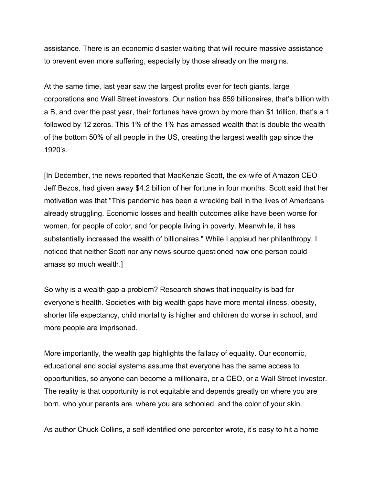assistance. There is an economic disaster waiting that will require massive assistance to prevent even more suffering, especially by those already on the margins.

At the same time, last year saw the largest profits ever for tech giants, large corporations and Wall Street investors. Our nation has 659 billionaires, that's billion with a B, and over the past year, their fortunes have grown by more than \$1 trillion, that's a 1 followed by 12 zeros. This 1% of the 1% has amassed wealth that is double the wealth of the bottom 50% of all people in the US, creating the largest wealth gap since the 1920's.

[In December, the news reported that MacKenzie Scott, the ex-wife of Amazon CEO Jeff Bezos, had given away \$4.2 billion of her fortune in four months. Scott said that her motivation was that "This pandemic has been a wrecking ball in the lives of Americans already struggling. Economic losses and health outcomes alike have been worse for women, for people of color, and for people living in poverty. Meanwhile, it has substantially increased the wealth of billionaires." While I applaud her philanthropy, I noticed that neither Scott nor any news source questioned how one person could amass so much wealth.]

So why is a wealth gap a problem? Research shows that inequality is bad for everyone's health. Societies with big wealth gaps have more mental illness, obesity, shorter life expectancy, child mortality is higher and children do worse in school, and more people are imprisoned.

More importantly, the wealth gap highlights the fallacy of equality. Our economic, educational and social systems assume that everyone has the same access to opportunities, so anyone can become a millionaire, or a CEO, or a Wall Street Investor. The reality is that opportunity is not equitable and depends greatly on where you are born, who your parents are, where you are schooled, and the color of your skin.

As author Chuck Collins, a self-identified one percenter wrote, it's easy to hit a home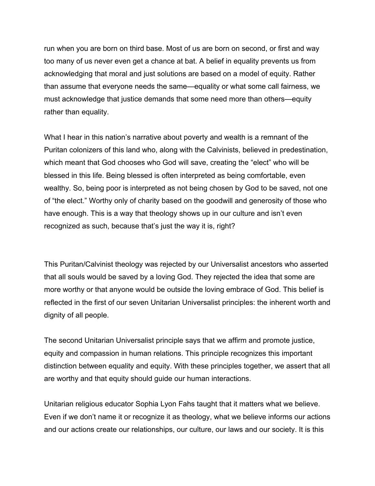run when you are born on third base. Most of us are born on second, or first and way too many of us never even get a chance at bat. A belief in equality prevents us from acknowledging that moral and just solutions are based on a model of equity. Rather than assume that everyone needs the same—equality or what some call fairness, we must acknowledge that justice demands that some need more than others—equity rather than equality.

What I hear in this nation's narrative about poverty and wealth is a remnant of the Puritan colonizers of this land who, along with the Calvinists, believed in predestination, which meant that God chooses who God will save, creating the "elect" who will be blessed in this life. Being blessed is often interpreted as being comfortable, even wealthy. So, being poor is interpreted as not being chosen by God to be saved, not one of "the elect." Worthy only of charity based on the goodwill and generosity of those who have enough. This is a way that theology shows up in our culture and isn't even recognized as such, because that's just the way it is, right?

This Puritan/Calvinist theology was rejected by our Universalist ancestors who asserted that all souls would be saved by a loving God. They rejected the idea that some are more worthy or that anyone would be outside the loving embrace of God. This belief is reflected in the first of our seven Unitarian Universalist principles: the inherent worth and dignity of all people.

The second Unitarian Universalist principle says that we affirm and promote justice, equity and compassion in human relations. This principle recognizes this important distinction between equality and equity. With these principles together, we assert that all are worthy and that equity should guide our human interactions.

Unitarian religious educator Sophia Lyon Fahs taught that it matters what we believe. Even if we don't name it or recognize it as theology, what we believe informs our actions and our actions create our relationships, our culture, our laws and our society. It is this